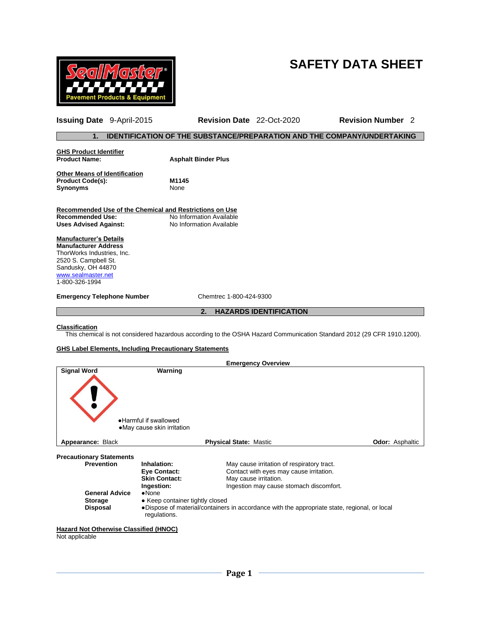



**Issuing Date** 9-April-2015 **Revision Date** 22-Oct-2020 **Revision Number** 2

# **1. IDENTIFICATION OF THE SUBSTANCE/PREPARATION AND THE COMPANY/UNDERTAKING**

| <b>GHS Product Identifier</b>                           |                            |
|---------------------------------------------------------|----------------------------|
| <b>Product Name:</b>                                    | <b>Asphalt Binder Plus</b> |
| <b>Other Means of Identification</b>                    |                            |
|                                                         | M1145                      |
| <b>Product Code(s):</b>                                 |                            |
| <b>Synonyms</b>                                         | None                       |
|                                                         |                            |
| Recommended Use of the Chemical and Restrictions on Use |                            |
| <b>Recommended Use:</b>                                 | No Information Available   |
| <b>Uses Advised Against:</b>                            | No Information Available   |
| <b>Manufacturer's Details</b>                           |                            |
| <b>Manufacturer Address</b>                             |                            |
| ThorWorks Industries, Inc.                              |                            |
| 2520 S. Campbell St.                                    |                            |
| Sandusky, OH 44870                                      |                            |
| www.sealmaster.net                                      |                            |
| 1-800-326-1994                                          |                            |
|                                                         |                            |
| <b>Emergency Telephone Number</b>                       | Chemtrec 1-800-424-9300    |
|                                                         |                            |

**2. HAZARDS IDENTIFICATION**

### **Classification**

This chemical is not considered hazardous according to the OSHA Hazard Communication Standard 2012 (29 CFR 1910.1200).

# **GHS Label Elements, Including Precautionary Statements**

|                                                                 |                                                                          | <b>Emergency Overview</b>                                                                                                                                 |                        |
|-----------------------------------------------------------------|--------------------------------------------------------------------------|-----------------------------------------------------------------------------------------------------------------------------------------------------------|------------------------|
| <b>Signal Word</b>                                              | Warning<br>• Harmful if swallowed<br>•May cause skin irritation          |                                                                                                                                                           |                        |
| Appearance: Black                                               |                                                                          | <b>Physical State: Mastic</b>                                                                                                                             | <b>Odor: Asphaltic</b> |
| <b>Precautionary Statements</b>                                 |                                                                          |                                                                                                                                                           |                        |
| <b>Prevention</b>                                               | Inhalation:<br><b>Eye Contact:</b><br><b>Skin Contact:</b><br>Ingestion: | May cause irritation of respiratory tract.<br>Contact with eyes may cause irritation.<br>May cause irritation.<br>Ingestion may cause stomach discomfort. |                        |
| <b>General Advice</b><br><b>Storage</b><br><b>Disposal</b>      | $\bullet$ None<br>• Keep container tightly closed<br>regulations.        | •Dispose of material/containers in accordance with the appropriate state, regional, or local                                                              |                        |
| <b>Hazard Not Otherwise Classified (HNOC)</b><br>Not applicable |                                                                          |                                                                                                                                                           |                        |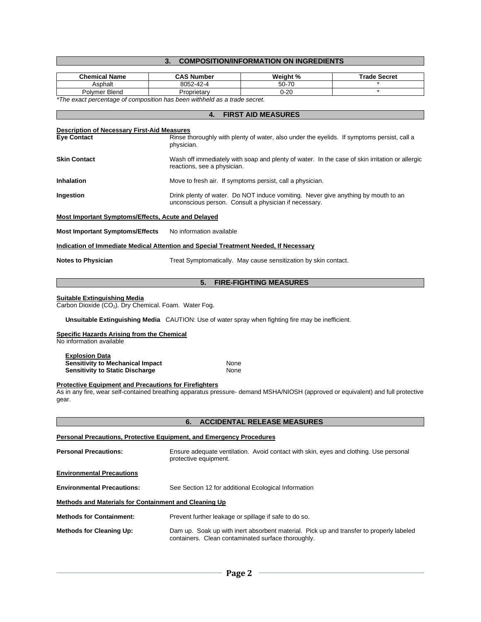# **3. COMPOSITION/INFORMATION ON INGREDIENTS**

| <b>Chemical Name</b>                                                                                       | <b>CAS Number</b>        | Weight %                                                                                                                                   | <b>Trade Secret</b>                                                                                                              |  |  |
|------------------------------------------------------------------------------------------------------------|--------------------------|--------------------------------------------------------------------------------------------------------------------------------------------|----------------------------------------------------------------------------------------------------------------------------------|--|--|
| Asphalt<br>Polymer Blend                                                                                   | 8052-42-4<br>Proprietary | 50-70<br>$0 - 20$                                                                                                                          | $\star$                                                                                                                          |  |  |
| *The exact percentage of composition has been withheld as a trade secret.                                  |                          |                                                                                                                                            |                                                                                                                                  |  |  |
|                                                                                                            | 4.                       | <b>FIRST AID MEASURES</b>                                                                                                                  |                                                                                                                                  |  |  |
|                                                                                                            |                          |                                                                                                                                            |                                                                                                                                  |  |  |
| Description of Necessary First-Aid Measures<br><b>Eye Contact</b>                                          | physician.               | Rinse thoroughly with plenty of water, also under the eyelids. If symptoms persist, call a                                                 |                                                                                                                                  |  |  |
| <b>Skin Contact</b>                                                                                        |                          | Wash off immediately with soap and plenty of water. In the case of skin irritation or allergic<br>reactions, see a physician.              |                                                                                                                                  |  |  |
| Inhalation                                                                                                 |                          | Move to fresh air. If symptoms persist, call a physician.                                                                                  |                                                                                                                                  |  |  |
| Ingestion                                                                                                  |                          | Drink plenty of water. Do NOT induce vomiting. Never give anything by mouth to an<br>unconscious person. Consult a physician if necessary. |                                                                                                                                  |  |  |
| Most Important Symptoms/Effects, Acute and Delayed                                                         |                          |                                                                                                                                            |                                                                                                                                  |  |  |
| <b>Most Important Symptoms/Effects</b>                                                                     | No information available |                                                                                                                                            |                                                                                                                                  |  |  |
| <b>Indication of Immediate Medical Attention and Special Treatment Needed, If Necessary</b>                |                          |                                                                                                                                            |                                                                                                                                  |  |  |
| <b>Notes to Physician</b>                                                                                  |                          | Treat Symptomatically. May cause sensitization by skin contact.                                                                            |                                                                                                                                  |  |  |
|                                                                                                            | 5.                       | <b>FIRE-FIGHTING MEASURES</b>                                                                                                              |                                                                                                                                  |  |  |
| <b>Suitable Extinguishing Media</b><br>Carbon Dioxide (CO <sub>2</sub> ). Dry Chemical. Foam. Water Fog.   |                          |                                                                                                                                            |                                                                                                                                  |  |  |
| Unsuitable Extinguishing Media CAUTION: Use of water spray when fighting fire may be inefficient.          |                          |                                                                                                                                            |                                                                                                                                  |  |  |
| <b>Specific Hazards Arising from the Chemical</b><br>No information available                              |                          |                                                                                                                                            |                                                                                                                                  |  |  |
| <b>Explosion Data</b><br><b>Sensitivity to Mechanical Impact</b><br><b>Sensitivity to Static Discharge</b> | None<br>None             |                                                                                                                                            |                                                                                                                                  |  |  |
| <b>Protective Equipment and Precautions for Firefighters</b><br>gear.                                      |                          |                                                                                                                                            | As in any fire, wear self-contained breathing apparatus pressure- demand MSHA/NIOSH (approved or equivalent) and full protective |  |  |
|                                                                                                            | 6.                       | <b>ACCIDENTAL RELEASE MEASURES</b>                                                                                                         |                                                                                                                                  |  |  |
|                                                                                                            |                          |                                                                                                                                            |                                                                                                                                  |  |  |
| Personal Precautions, Protective Equipment, and Emergency Procedures                                       |                          |                                                                                                                                            |                                                                                                                                  |  |  |
| <b>Personal Precautions:</b>                                                                               | protective equipment.    |                                                                                                                                            | Ensure adequate ventilation. Avoid contact with skin, eyes and clothing. Use personal                                            |  |  |
| <b>Environmental Precautions</b>                                                                           |                          |                                                                                                                                            |                                                                                                                                  |  |  |
| <b>Environmental Precautions:</b>                                                                          |                          | See Section 12 for additional Ecological Information                                                                                       |                                                                                                                                  |  |  |
| Methods and Materials for Containment and Cleaning Up                                                      |                          |                                                                                                                                            |                                                                                                                                  |  |  |
| <b>Methods for Containment:</b>                                                                            |                          | Prevent further leakage or spillage if safe to do so.                                                                                      |                                                                                                                                  |  |  |
| <b>Methods for Cleaning Up:</b>                                                                            |                          | containers. Clean contaminated surface thoroughly.                                                                                         | Dam up. Soak up with inert absorbent material. Pick up and transfer to properly labeled                                          |  |  |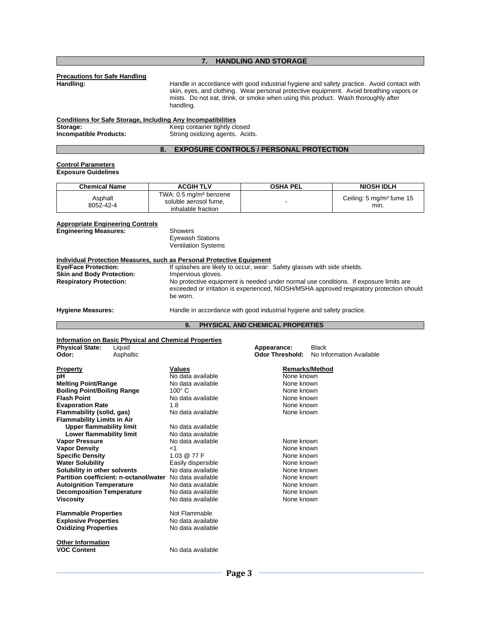# **7. HANDLING AND STORAGE**

# **Precautions for Safe Handling**

Handle in accordance with good industrial hygiene and safety practice. Avoid contact with skin, eyes, and clothing. Wear personal protective equipment. Avoid breathing vapors or mists. Do not eat, drink, or smoke when using this product. Wash thoroughly after handling.

| <b>Conditions for Safe Storage, Including Any Incompatibilities</b> |                                 |
|---------------------------------------------------------------------|---------------------------------|
| Storage:                                                            | Keep container tightly closed   |
| <b>Incompatible Products:</b>                                       | Strong oxidizing agents. Acids. |

# **8. EXPOSURE CONTROLS / PERSONAL PROTECTION**

# **Control Parameters**

| <b>Chemical Name</b> | <b>ACGIH TLV</b>                                                                  | <b>OSHA PEL</b> | <b>NIOSH IDLH</b>                             |
|----------------------|-----------------------------------------------------------------------------------|-----------------|-----------------------------------------------|
| Asphalt<br>8052-42-4 | TWA: 0.5 mg/m <sup>3</sup> benzene<br>soluble aerosol fume.<br>inhalable fraction |                 | Ceiling: $5 \text{ mg/m}^3$ fume $15$<br>min. |

#### **Appropriate Engineering Controls**

**Engineering Measures:** Showers

Eyewash Stations Ventilation Systems

# **Individual Protection Measures, such as Personal Protective Equipment**

| <b>Eye/Face Protection:</b><br><b>Skin and Body Protection:</b><br><b>Respiratory Protection:</b> | If splashes are likely to occur, wear: Safety glasses with side shields.<br>Impervious gloves.<br>No protective equipment is needed under normal use conditions. If exposure limits are<br>exceeded or irritation is experienced, NIOSH/MSHA approved respiratory protection should<br>be worn. |
|---------------------------------------------------------------------------------------------------|-------------------------------------------------------------------------------------------------------------------------------------------------------------------------------------------------------------------------------------------------------------------------------------------------|
| <b>Hygiene Measures:</b>                                                                          | Handle in accordance with good industrial hygiene and safety practice.                                                                                                                                                                                                                          |

# **9. PHYSICAL AND CHEMICAL PROPERTIES**

#### **Information on Basic Physical and Chemical Properties**

| <b>Physical State:</b>             | Liquid                                 |                    | Appearance:            | <b>Black</b>             |
|------------------------------------|----------------------------------------|--------------------|------------------------|--------------------------|
| Odor:                              | Asphaltic                              |                    | <b>Odor Threshold:</b> | No Information Available |
| <b>Property</b>                    |                                        | <b>Values</b>      |                        | <b>Remarks/Method</b>    |
| рH                                 |                                        | No data available  | None known             |                          |
| <b>Melting Point/Range</b>         |                                        | No data available  | None known             |                          |
| <b>Boiling Point/Boiling Range</b> |                                        | $100^\circ$ C      | None known             |                          |
| <b>Flash Point</b>                 |                                        | No data available  | None known             |                          |
| <b>Evaporation Rate</b>            |                                        | 1.8                | None known             |                          |
| Flammability (solid, gas)          |                                        | No data available  | None known             |                          |
| <b>Flammability Limits in Air</b>  |                                        |                    |                        |                          |
| <b>Upper flammability limit</b>    |                                        | No data available  |                        |                          |
| Lower flammability limit           |                                        | No data available  |                        |                          |
| <b>Vapor Pressure</b>              |                                        | No data available  | None known             |                          |
| <b>Vapor Density</b>               |                                        | ا>                 | None known             |                          |
| <b>Specific Density</b>            |                                        | 1.03 @ 77 F        | None known             |                          |
| <b>Water Solubility</b>            |                                        | Easily dispersible | None known             |                          |
| Solubility in other solvents       |                                        | No data available  | None known             |                          |
|                                    | Partition coefficient: n-octanol/water | No data available  | None known             |                          |
| <b>Autoignition Temperature</b>    |                                        | No data available  | None known             |                          |
| <b>Decomposition Temperature</b>   |                                        | No data available  | None known             |                          |
| <b>Viscosity</b>                   |                                        | No data available  | None known             |                          |
| <b>Flammable Properties</b>        |                                        | Not Flammable      |                        |                          |
| <b>Explosive Properties</b>        |                                        | No data available  |                        |                          |
| <b>Oxidizing Properties</b>        |                                        | No data available  |                        |                          |
| <b>Other Information</b>           |                                        |                    |                        |                          |
| <b>VOC Content</b>                 |                                        | No data available  |                        |                          |
|                                    |                                        |                    |                        |                          |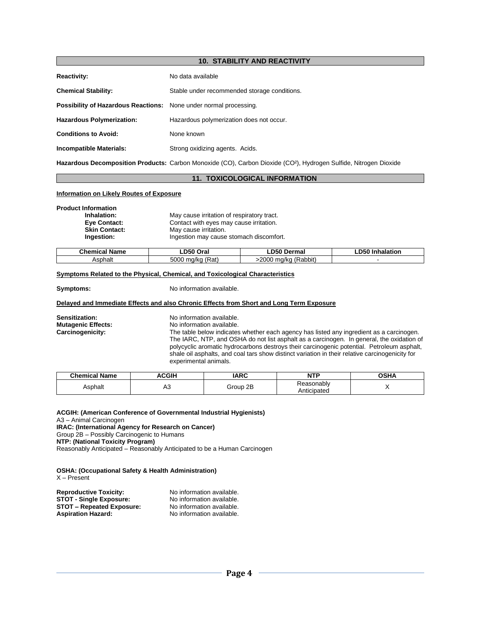# **10. STABILITY AND REACTIVITY Reactivity:** No data available **Chemical Stability:** Stable under recommended storage conditions. **Possibility of Hazardous Reactions:** None under normal processing. **Hazardous Polymerization:** Hazardous polymerization does not occur. **Conditions to Avoid:** None known **Incompatible Materials:** Strong oxidizing agents. Acids.

**Hazardous Decomposition Products:** Carbon Monoxide (CO), Carbon Dioxide (CO²), Hydrogen Sulfide, Nitrogen Dioxide

# **11. TOXICOLOGICAL INFORMATION**

# **Information on Likely Routes of Exposure**

**Product Information**

| Inhalation:          | May cause irritation of respiratory tract. |
|----------------------|--------------------------------------------|
| <b>Eve Contact:</b>  | Contact with eyes may cause irritation.    |
| <b>Skin Contact:</b> | May cause irritation.                      |
| Ingestion:           | Ingestion may cause stomach discomfort.    |
|                      |                                            |

| <b>Name</b>    | $\mathsf{\scriptstyle \bot}$ D50 $^\prime$ | ∟D50                           | -D50     |
|----------------|--------------------------------------------|--------------------------------|----------|
| Chemical       | Oral                                       | Dermal                         | halation |
| <b>\sphalt</b> | 5000<br>(Rat)<br>.na/kc                    | (Rabbit)<br>$-2000$<br>. ma/kc |          |

# **Symptoms Related to the Physical, Chemical, and Toxicological Characteristics**

**Symptoms:** No information available.

# **Delayed and Immediate Effects and also Chronic Effects from Short and Long Term Exposure**

**Sensitization:** No information available.<br> **Mutagenic Effects:** No information available. **Mutagenic Effects:** No information available.<br> **Carcinogenicity:** The table below indicates The table below indicates whether each agency has listed any ingredient as a carcinogen. The IARC, NTP, and OSHA do not list asphalt as a carcinogen. In general, the oxidation of polycyclic aromatic hydrocarbons destroys their carcinogenic potential. Petroleum asphalt, shale oil asphalts, and coal tars show distinct variation in their relative carcinogenicity for experimental animals.

| <b>Chemical Name</b> | <b>ACGIP</b>    | <b>IARC</b> | NTP<br>.                                | OSHA |
|----------------------|-----------------|-------------|-----------------------------------------|------|
| Asphalt              | <b>^^</b><br>nu | 2B<br>Group | <b>keasonably</b><br>nticipated<br>ALIU |      |

| ACGIH: (American Conference of Governmental Industrial Hygienists)       |
|--------------------------------------------------------------------------|
| A3 – Animal Carcinogen                                                   |
| <b>IRAC: (International Agency for Research on Cancer)</b>               |
| Group 2B - Possibly Carcinogenic to Humans                               |
| NTP: (National Toxicity Program)                                         |
| Reasonably Anticipated – Reasonably Anticipated to be a Human Carcinogen |

**OSHA: (Occupational Safety & Health Administration)** X – Present

| <b>Reproductive Toxicity:</b>    | No information available. |
|----------------------------------|---------------------------|
| <b>STOT - Single Exposure:</b>   | No information available. |
| <b>STOT – Repeated Exposure:</b> | No information available. |
| <b>Aspiration Hazard:</b>        | No information available. |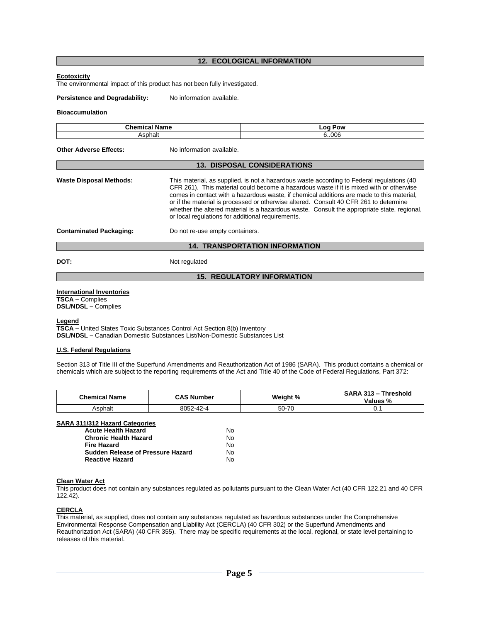# **12. ECOLOGICAL INFORMATION**

#### **Ecotoxicity**

The environmental impact of this product has not been fully investigated.

**Persistence and Degradability:** No information available.

## **Bioaccumulation**

| <b>Chemical Name</b>                  |                                                                                                                                                                                                                                                                                                                                                                                                                                                                                                                                | <b>Log Pow</b>                     |  |  |
|---------------------------------------|--------------------------------------------------------------------------------------------------------------------------------------------------------------------------------------------------------------------------------------------------------------------------------------------------------------------------------------------------------------------------------------------------------------------------------------------------------------------------------------------------------------------------------|------------------------------------|--|--|
| Asphalt                               |                                                                                                                                                                                                                                                                                                                                                                                                                                                                                                                                | 6.006                              |  |  |
| Other Adverse Effects:                | No information available.                                                                                                                                                                                                                                                                                                                                                                                                                                                                                                      |                                    |  |  |
|                                       |                                                                                                                                                                                                                                                                                                                                                                                                                                                                                                                                | <b>13. DISPOSAL CONSIDERATIONS</b> |  |  |
| Waste Disposal Methods:               | This material, as supplied, is not a hazardous waste according to Federal regulations (40<br>CFR 261). This material could become a hazardous waste if it is mixed with or otherwise<br>comes in contact with a hazardous waste, if chemical additions are made to this material,<br>or if the material is processed or otherwise altered. Consult 40 CFR 261 to determine<br>whether the altered material is a hazardous waste. Consult the appropriate state, regional,<br>or local regulations for additional requirements. |                                    |  |  |
| <b>Contaminated Packaging:</b>        | Do not re-use empty containers.                                                                                                                                                                                                                                                                                                                                                                                                                                                                                                |                                    |  |  |
| <b>14. TRANSPORTATION INFORMATION</b> |                                                                                                                                                                                                                                                                                                                                                                                                                                                                                                                                |                                    |  |  |
| DOT:                                  | Not regulated                                                                                                                                                                                                                                                                                                                                                                                                                                                                                                                  |                                    |  |  |
| <b>15. REGULATORY INFORMATION</b>     |                                                                                                                                                                                                                                                                                                                                                                                                                                                                                                                                |                                    |  |  |

#### **International Inventories**

**TSCA –** Complies **DSL/NDSL –** Complies

**Legend**

**TSCA –** United States Toxic Substances Control Act Section 8(b) Inventory **DSL/NDSL –** Canadian Domestic Substances List/Non-Domestic Substances List

# **U.S. Federal Regulations**

Section 313 of Title III of the Superfund Amendments and Reauthorization Act of 1986 (SARA). This product contains a chemical or chemicals which are subject to the reporting requirements of the Act and Title 40 of the Code of Federal Regulations, Part 372:

| <b>Chemical Name</b> | <b>CAS Number</b> | Weight % | SARA 313 - Threshold<br>Values % |
|----------------------|-------------------|----------|----------------------------------|
| Asphalt              | 8052-42-4         | 50-70    | v. i                             |

| SARA 311/312 Hazard Categories           |    |
|------------------------------------------|----|
| <b>Acute Health Hazard</b>               | N٥ |
| <b>Chronic Health Hazard</b>             | No |
| Fire Hazard                              | No |
| <b>Sudden Release of Pressure Hazard</b> | N٥ |
| <b>Reactive Hazard</b>                   | N٥ |

#### **Clean Water Act**

This product does not contain any substances regulated as pollutants pursuant to the Clean Water Act (40 CFR 122.21 and 40 CFR 122.42).

### **CERCLA**

This material, as supplied, does not contain any substances regulated as hazardous substances under the Comprehensive Environmental Response Compensation and Liability Act (CERCLA) (40 CFR 302) or the Superfund Amendments and Reauthorization Act (SARA) (40 CFR 355). There may be specific requirements at the local, regional, or state level pertaining to releases of this material.